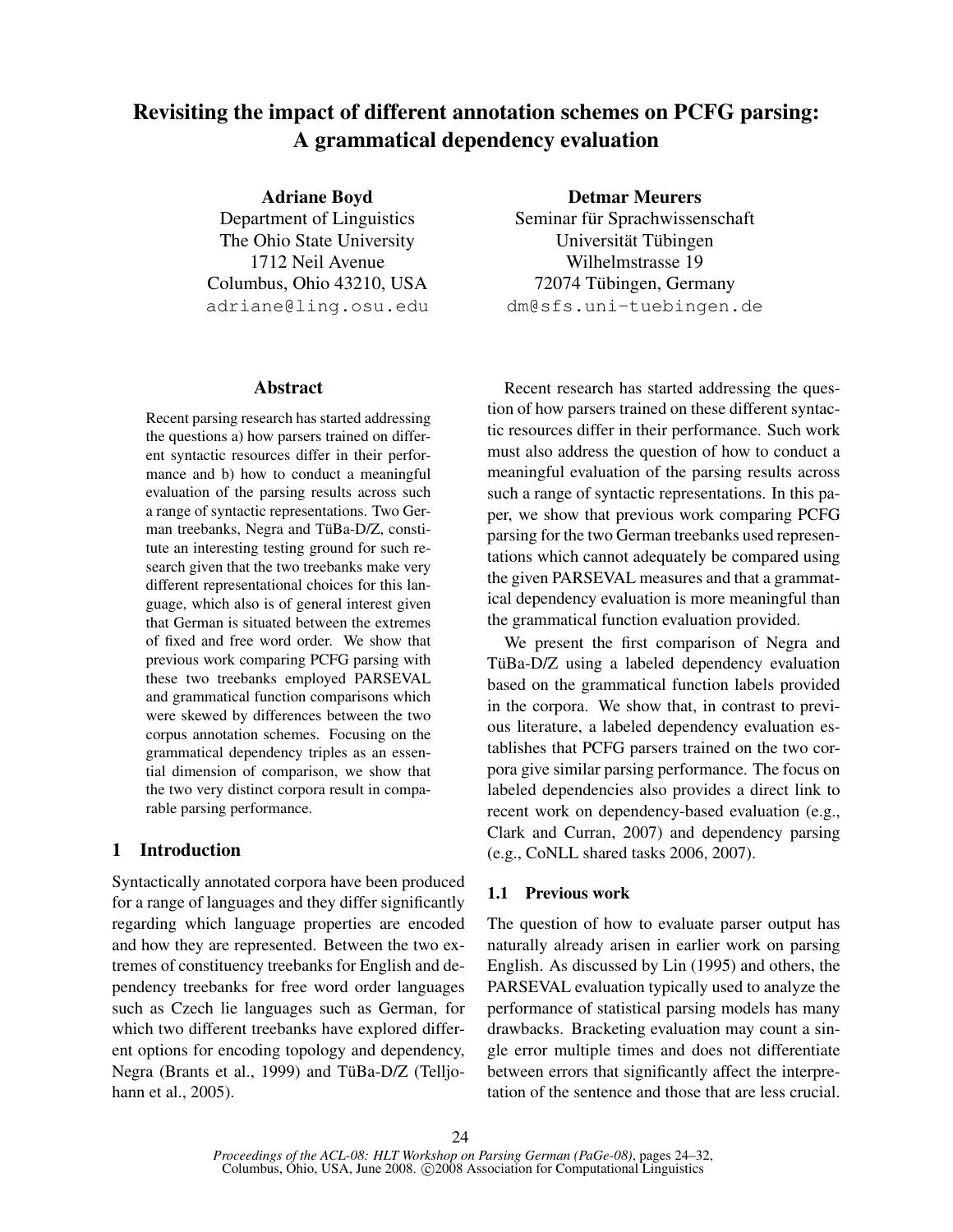# Revisiting the impact of different annotation schemes on PCFG parsing: A grammatical dependency evaluation

Adriane Boyd

Department of Linguistics The Ohio State University 1712 Neil Avenue Columbus, Ohio 43210, USA adriane@ling.osu.edu

## Abstract

Recent parsing research has started addressing the questions a) how parsers trained on different syntactic resources differ in their performance and b) how to conduct a meaningful evaluation of the parsing results across such a range of syntactic representations. Two German treebanks, Negra and TüBa-D/Z, constitute an interesting testing ground for such research given that the two treebanks make very different representational choices for this language, which also is of general interest given that German is situated between the extremes of fixed and free word order. We show that previous work comparing PCFG parsing with these two treebanks employed PARSEVAL and grammatical function comparisons which were skewed by differences between the two corpus annotation schemes. Focusing on the grammatical dependency triples as an essential dimension of comparison, we show that the two very distinct corpora result in comparable parsing performance.

## 1 Introduction

Syntactically annotated corpora have been produced for a range of languages and they differ significantly regarding which language properties are encoded and how they are represented. Between the two extremes of constituency treebanks for English and dependency treebanks for free word order languages such as Czech lie languages such as German, for which two different treebanks have explored different options for encoding topology and dependency, Negra (Brants et al., 1999) and TüBa-D/Z (Telljohann et al., 2005).

Detmar Meurers

Seminar für Sprachwissenschaft Universität Tübingen Wilhelmstrasse 19 72074 Tübingen, Germany dm@sfs.uni-tuebingen.de

Recent research has started addressing the question of how parsers trained on these different syntactic resources differ in their performance. Such work must also address the question of how to conduct a meaningful evaluation of the parsing results across such a range of syntactic representations. In this paper, we show that previous work comparing PCFG parsing for the two German treebanks used representations which cannot adequately be compared using the given PARSEVAL measures and that a grammatical dependency evaluation is more meaningful than the grammatical function evaluation provided.

We present the first comparison of Negra and TüBa-D/Z using a labeled dependency evaluation based on the grammatical function labels provided in the corpora. We show that, in contrast to previous literature, a labeled dependency evaluation establishes that PCFG parsers trained on the two corpora give similar parsing performance. The focus on labeled dependencies also provides a direct link to recent work on dependency-based evaluation (e.g., Clark and Curran, 2007) and dependency parsing (e.g., CoNLL shared tasks 2006, 2007).

## 1.1 Previous work

The question of how to evaluate parser output has naturally already arisen in earlier work on parsing English. As discussed by Lin (1995) and others, the PARSEVAL evaluation typically used to analyze the performance of statistical parsing models has many drawbacks. Bracketing evaluation may count a single error multiple times and does not differentiate between errors that significantly affect the interpretation of the sentence and those that are less crucial.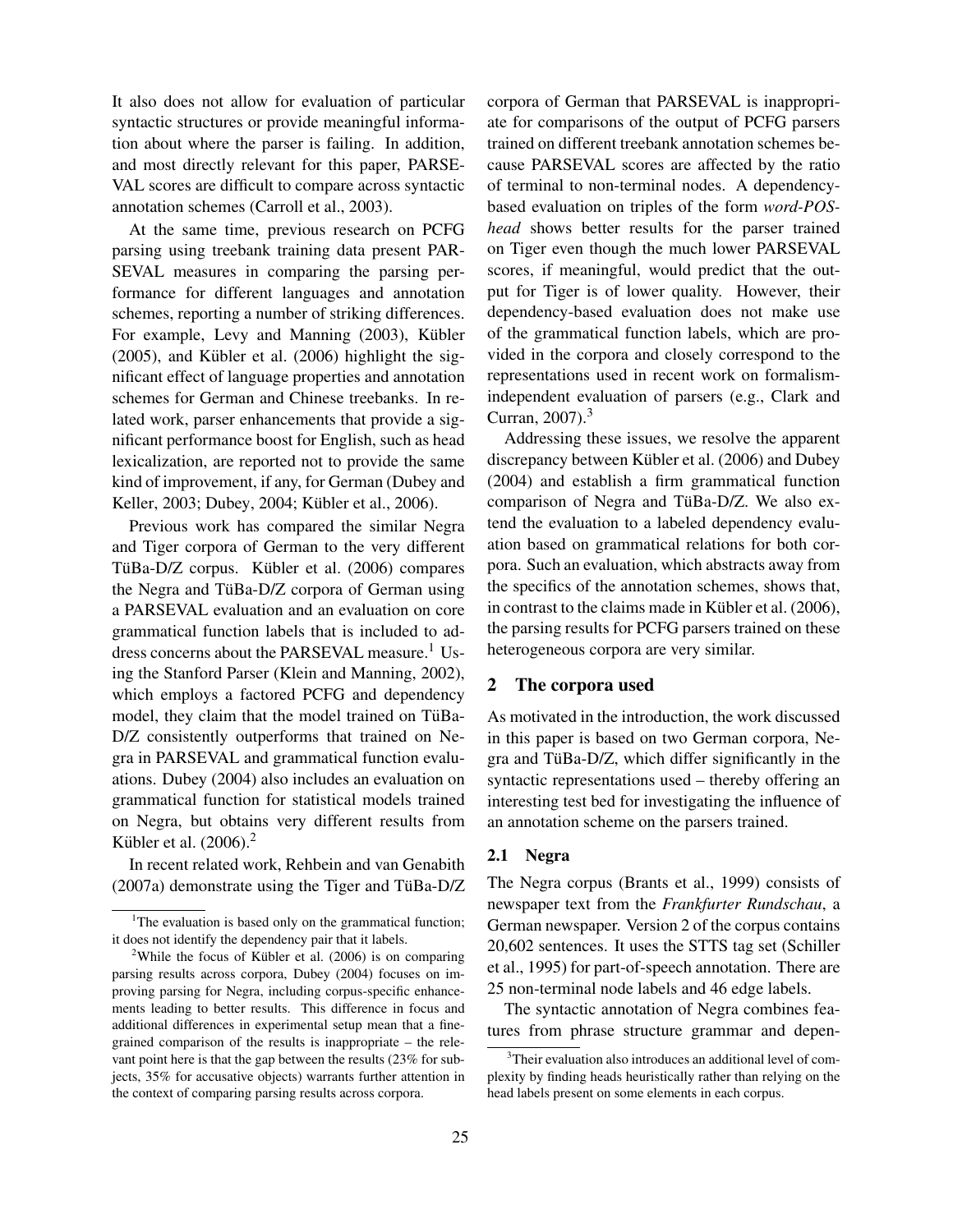It also does not allow for evaluation of particular syntactic structures or provide meaningful information about where the parser is failing. In addition, and most directly relevant for this paper, PARSE-VAL scores are difficult to compare across syntactic annotation schemes (Carroll et al., 2003).

At the same time, previous research on PCFG parsing using treebank training data present PAR-SEVAL measures in comparing the parsing performance for different languages and annotation schemes, reporting a number of striking differences. For example, Levy and Manning (2003), Kübler  $(2005)$ , and Kübler et al.  $(2006)$  highlight the significant effect of language properties and annotation schemes for German and Chinese treebanks. In related work, parser enhancements that provide a significant performance boost for English, such as head lexicalization, are reported not to provide the same kind of improvement, if any, for German (Dubey and Keller, 2003; Dubey, 2004; Kübler et al., 2006).

Previous work has compared the similar Negra and Tiger corpora of German to the very different TüBa-D/Z corpus. Kübler et al. (2006) compares the Negra and TüBa-D/Z corpora of German using a PARSEVAL evaluation and an evaluation on core grammatical function labels that is included to address concerns about the PARSEVAL measure.<sup>1</sup> Using the Stanford Parser (Klein and Manning, 2002), which employs a factored PCFG and dependency model, they claim that the model trained on TüBa-D/Z consistently outperforms that trained on Negra in PARSEVAL and grammatical function evaluations. Dubey (2004) also includes an evaluation on grammatical function for statistical models trained on Negra, but obtains very different results from Kübler et al.  $(2006).<sup>2</sup>$ 

In recent related work, Rehbein and van Genabith  $(2007a)$  demonstrate using the Tiger and TüBa-D/Z

corpora of German that PARSEVAL is inappropriate for comparisons of the output of PCFG parsers trained on different treebank annotation schemes because PARSEVAL scores are affected by the ratio of terminal to non-terminal nodes. A dependencybased evaluation on triples of the form *word-POShead* shows better results for the parser trained on Tiger even though the much lower PARSEVAL scores, if meaningful, would predict that the output for Tiger is of lower quality. However, their dependency-based evaluation does not make use of the grammatical function labels, which are provided in the corpora and closely correspond to the representations used in recent work on formalismindependent evaluation of parsers (e.g., Clark and Curran,  $2007$ ).<sup>3</sup>

Addressing these issues, we resolve the apparent discrepancy between Kübler et al. (2006) and Dubey (2004) and establish a firm grammatical function comparison of Negra and TüBa-D/Z. We also extend the evaluation to a labeled dependency evaluation based on grammatical relations for both corpora. Such an evaluation, which abstracts away from the specifics of the annotation schemes, shows that, in contrast to the claims made in Kübler et al.  $(2006)$ , the parsing results for PCFG parsers trained on these heterogeneous corpora are very similar.

## 2 The corpora used

As motivated in the introduction, the work discussed in this paper is based on two German corpora, Negra and TüBa- $D/Z$ , which differ significantly in the syntactic representations used – thereby offering an interesting test bed for investigating the influence of an annotation scheme on the parsers trained.

### 2.1 Negra

The Negra corpus (Brants et al., 1999) consists of newspaper text from the *Frankfurter Rundschau*, a German newspaper. Version 2 of the corpus contains 20,602 sentences. It uses the STTS tag set (Schiller et al., 1995) for part-of-speech annotation. There are 25 non-terminal node labels and 46 edge labels.

The syntactic annotation of Negra combines features from phrase structure grammar and depen-

<sup>&</sup>lt;sup>1</sup>The evaluation is based only on the grammatical function; it does not identify the dependency pair that it labels.

<sup>&</sup>lt;sup>2</sup>While the focus of Kübler et al.  $(2006)$  is on comparing parsing results across corpora, Dubey (2004) focuses on improving parsing for Negra, including corpus-specific enhancements leading to better results. This difference in focus and additional differences in experimental setup mean that a finegrained comparison of the results is inappropriate – the relevant point here is that the gap between the results (23% for subjects, 35% for accusative objects) warrants further attention in the context of comparing parsing results across corpora.

<sup>&</sup>lt;sup>3</sup>Their evaluation also introduces an additional level of complexity by finding heads heuristically rather than relying on the head labels present on some elements in each corpus.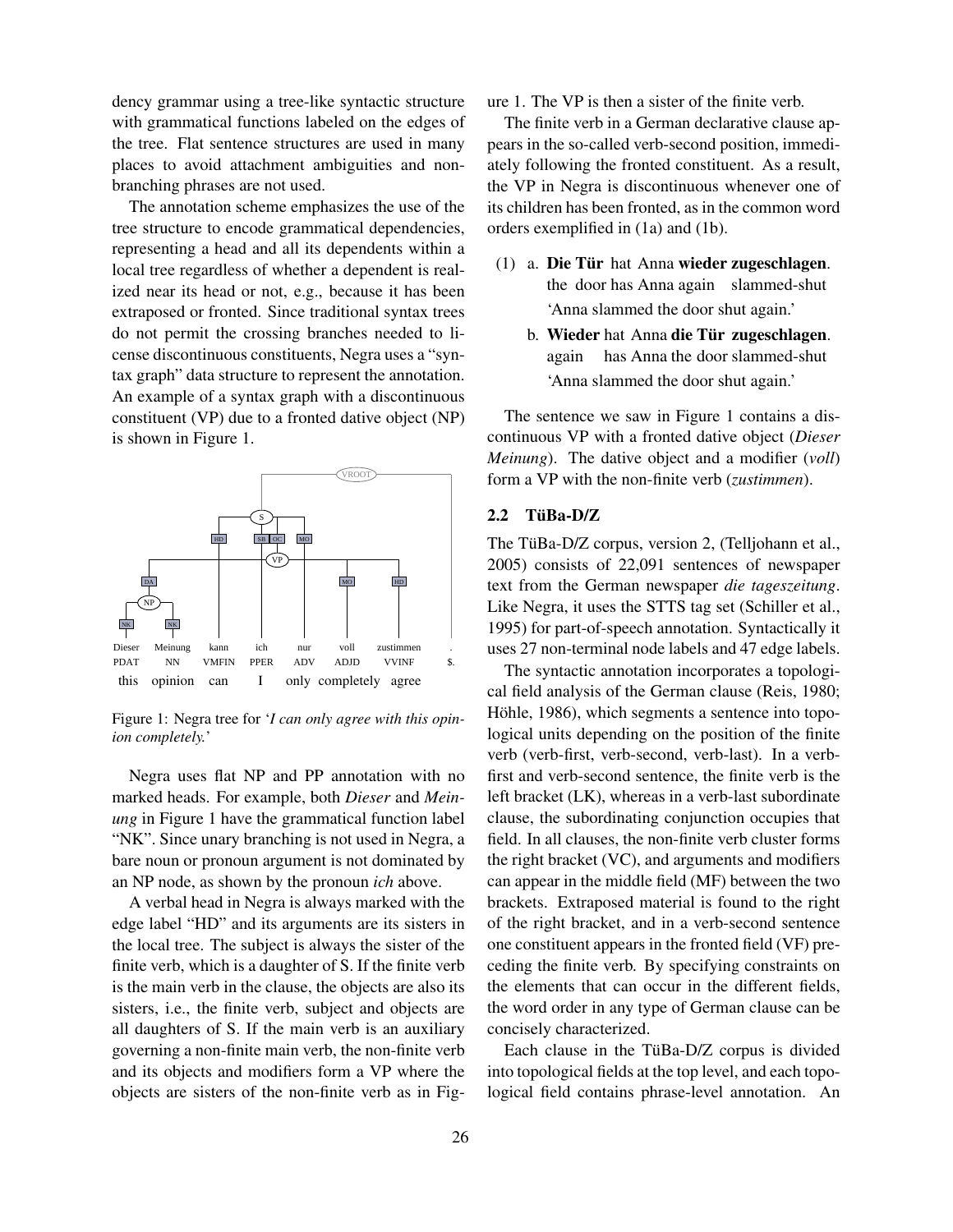dency grammar using a tree-like syntactic structure with grammatical functions labeled on the edges of the tree. Flat sentence structures are used in many places to avoid attachment ambiguities and nonbranching phrases are not used.

The annotation scheme emphasizes the use of the tree structure to encode grammatical dependencies, representing a head and all its dependents within a local tree regardless of whether a dependent is realized near its head or not, e.g., because it has been extraposed or fronted. Since traditional syntax trees do not permit the crossing branches needed to license discontinuous constituents, Negra uses a "syntax graph" data structure to represent the annotation. An example of a syntax graph with a discontinuous constituent (VP) due to a fronted dative object (NP) is shown in Figure 1.



Figure 1: Negra tree for '*I can only agree with this opinion completely.*'

Negra uses flat NP and PP annotation with no marked heads. For example, both *Dieser* and *Meinung* in Figure 1 have the grammatical function label "NK". Since unary branching is not used in Negra, a bare noun or pronoun argument is not dominated by an NP node, as shown by the pronoun *ich* above.

A verbal head in Negra is always marked with the edge label "HD" and its arguments are its sisters in the local tree. The subject is always the sister of the finite verb, which is a daughter of S. If the finite verb is the main verb in the clause, the objects are also its sisters, i.e., the finite verb, subject and objects are all daughters of S. If the main verb is an auxiliary governing a non-finite main verb, the non-finite verb and its objects and modifiers form a VP where the objects are sisters of the non-finite verb as in Figure 1. The VP is then a sister of the finite verb.

The finite verb in a German declarative clause appears in the so-called verb-second position, immediately following the fronted constituent. As a result, the VP in Negra is discontinuous whenever one of its children has been fronted, as in the common word orders exemplified in (1a) and (1b).

- (1) a. Die Tür hat Anna wieder zugeschlagen. the door has Anna again slammed-shut 'Anna slammed the door shut again.'
	- b. Wieder hat Anna die Tür zugeschlagen. again has Anna the door slammed-shut 'Anna slammed the door shut again.'

The sentence we saw in Figure 1 contains a discontinuous VP with a fronted dative object (*Dieser Meinung*). The dative object and a modifier (*voll*) form a VP with the non-finite verb (*zustimmen*).

# $2.2$  TüBa-D/Z

The TüBa-D/Z corpus, version 2, (Telljohann et al., 2005) consists of 22,091 sentences of newspaper text from the German newspaper *die tageszeitung*. Like Negra, it uses the STTS tag set (Schiller et al., 1995) for part-of-speech annotation. Syntactically it uses 27 non-terminal node labels and 47 edge labels.

The syntactic annotation incorporates a topological field analysis of the German clause (Reis, 1980; Höhle, 1986), which segments a sentence into topological units depending on the position of the finite verb (verb-first, verb-second, verb-last). In a verbfirst and verb-second sentence, the finite verb is the left bracket (LK), whereas in a verb-last subordinate clause, the subordinating conjunction occupies that field. In all clauses, the non-finite verb cluster forms the right bracket (VC), and arguments and modifiers can appear in the middle field (MF) between the two brackets. Extraposed material is found to the right of the right bracket, and in a verb-second sentence one constituent appears in the fronted field (VF) preceding the finite verb. By specifying constraints on the elements that can occur in the different fields, the word order in any type of German clause can be concisely characterized.

Each clause in the TüBa-D/Z corpus is divided into topological fields at the top level, and each topological field contains phrase-level annotation. An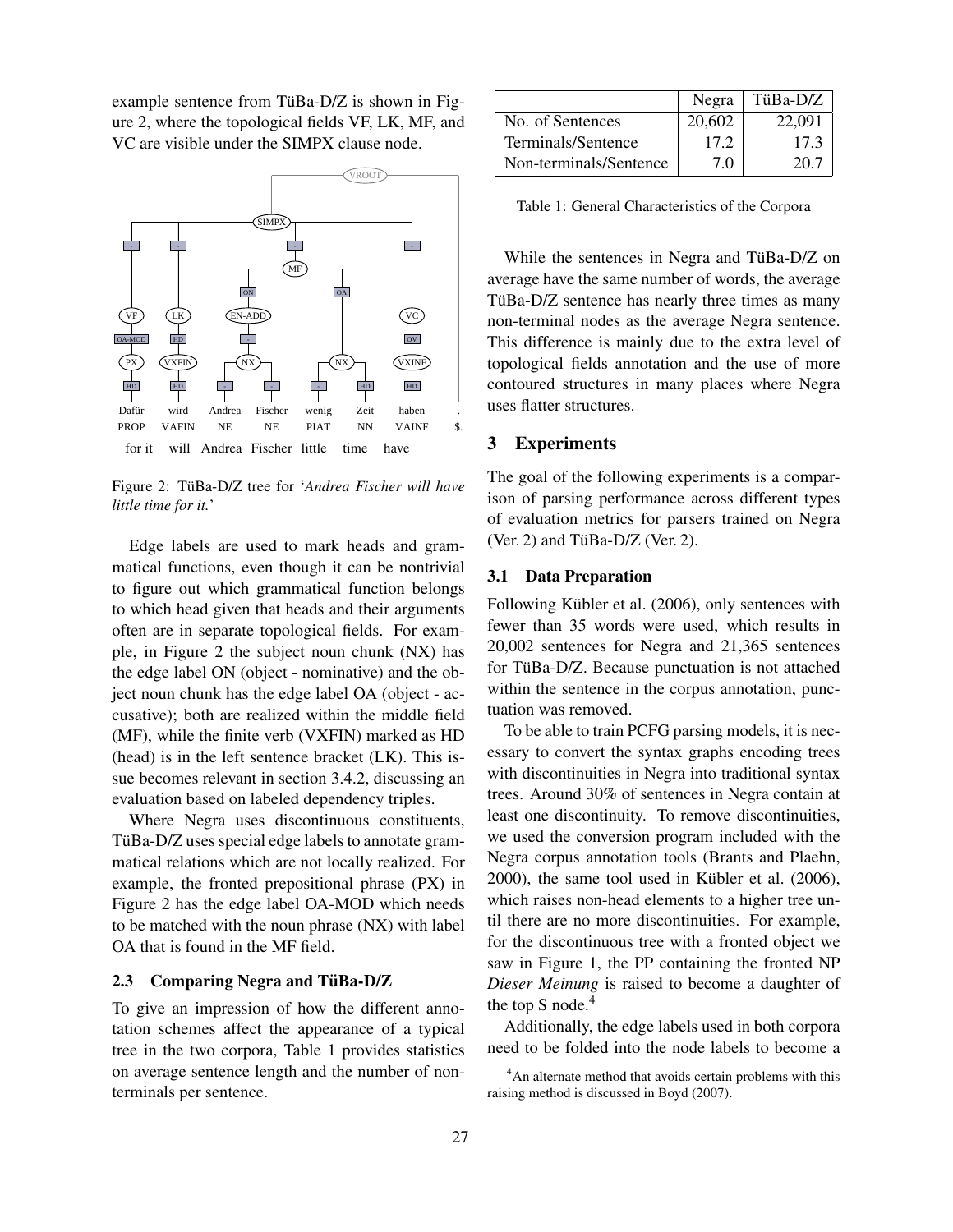example sentence from TüBa-D/Z is shown in Figure 2, where the topological fields VF, LK, MF, and VC are visible under the SIMPX clause node.



Figure 2: TüBa-D/Z tree for 'Andrea Fischer will have *little time for it.*'

Edge labels are used to mark heads and grammatical functions, even though it can be nontrivial to figure out which grammatical function belongs to which head given that heads and their arguments often are in separate topological fields. For example, in Figure 2 the subject noun chunk (NX) has the edge label ON (object - nominative) and the object noun chunk has the edge label OA (object - accusative); both are realized within the middle field (MF), while the finite verb (VXFIN) marked as HD (head) is in the left sentence bracket (LK). This issue becomes relevant in section 3.4.2, discussing an evaluation based on labeled dependency triples.

Where Negra uses discontinuous constituents, TüBa-D/Z uses special edge labels to annotate grammatical relations which are not locally realized. For example, the fronted prepositional phrase (PX) in Figure 2 has the edge label OA-MOD which needs to be matched with the noun phrase (NX) with label OA that is found in the MF field.

#### 2.3 Comparing Negra and TüBa-D/Z

To give an impression of how the different annotation schemes affect the appearance of a typical tree in the two corpora, Table 1 provides statistics on average sentence length and the number of nonterminals per sentence.

|                        | Negra  | TüBa-D/Z |
|------------------------|--------|----------|
| No. of Sentences       | 20,602 | 22,091   |
| Terminals/Sentence     | 17.2   | 173      |
| Non-terminals/Sentence | 7.0    | 20.7     |

Table 1: General Characteristics of the Corpora

While the sentences in Negra and TüBa-D/Z on average have the same number of words, the average TüBa-D/Z sentence has nearly three times as many non-terminal nodes as the average Negra sentence. This difference is mainly due to the extra level of topological fields annotation and the use of more contoured structures in many places where Negra uses flatter structures.

#### 3 Experiments

The goal of the following experiments is a comparison of parsing performance across different types of evaluation metrics for parsers trained on Negra  $(Ver. 2)$  and TüBa-D/Z  $(Ver. 2)$ .

#### 3.1 Data Preparation

Following Kübler et al. (2006), only sentences with fewer than 35 words were used, which results in 20,002 sentences for Negra and 21,365 sentences for TüBa-D/Z. Because punctuation is not attached within the sentence in the corpus annotation, punctuation was removed.

To be able to train PCFG parsing models, it is necessary to convert the syntax graphs encoding trees with discontinuities in Negra into traditional syntax trees. Around 30% of sentences in Negra contain at least one discontinuity. To remove discontinuities, we used the conversion program included with the Negra corpus annotation tools (Brants and Plaehn,  $2000$ , the same tool used in Kübler et al.  $(2006)$ , which raises non-head elements to a higher tree until there are no more discontinuities. For example, for the discontinuous tree with a fronted object we saw in Figure 1, the PP containing the fronted NP *Dieser Meinung* is raised to become a daughter of the top S node. $4$ 

Additionally, the edge labels used in both corpora need to be folded into the node labels to become a

<sup>&</sup>lt;sup>4</sup>An alternate method that avoids certain problems with this raising method is discussed in Boyd (2007).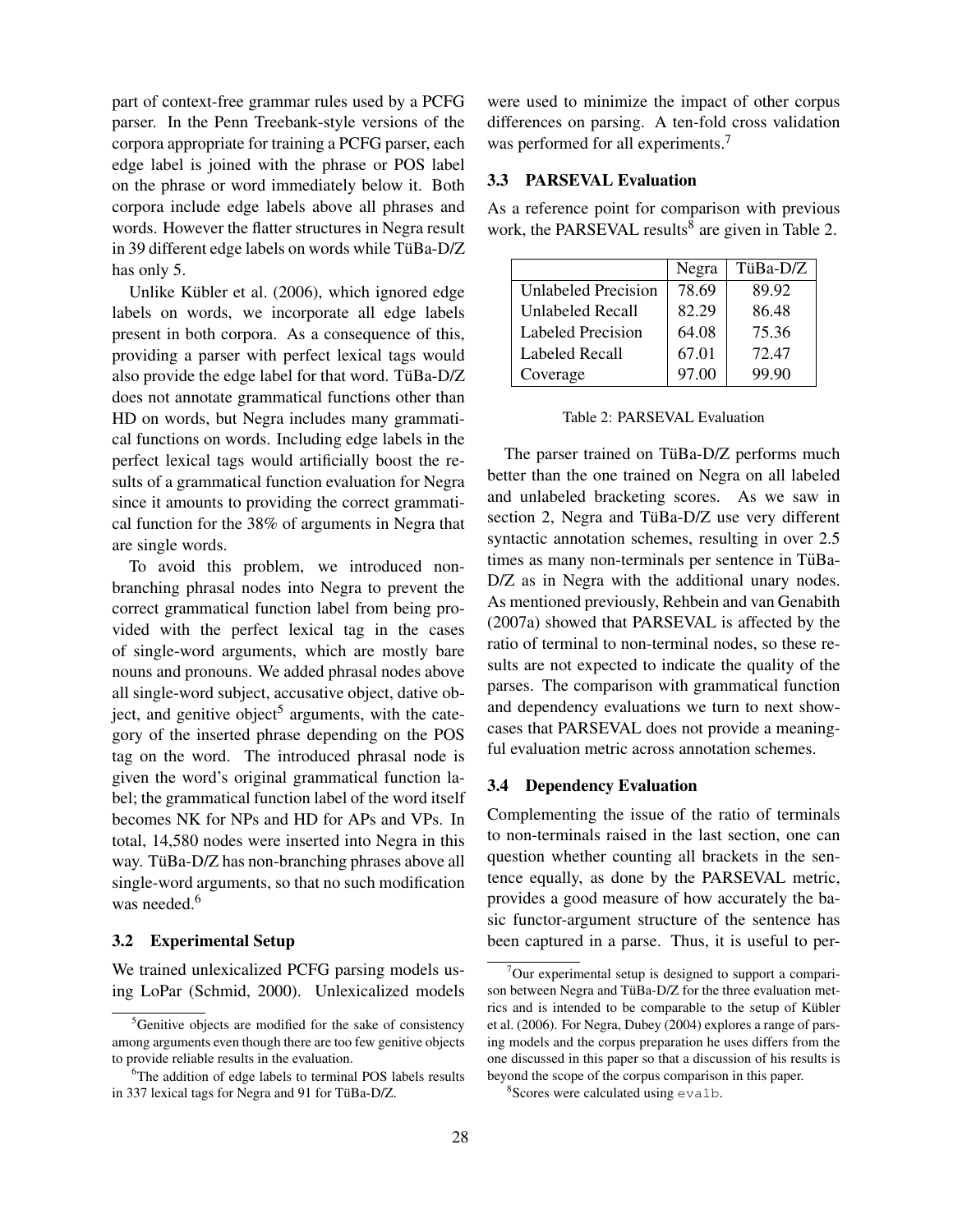part of context-free grammar rules used by a PCFG parser. In the Penn Treebank-style versions of the corpora appropriate for training a PCFG parser, each edge label is joined with the phrase or POS label on the phrase or word immediately below it. Both corpora include edge labels above all phrases and words. However the flatter structures in Negra result in 39 different edge labels on words while TüBa-D/Z has only 5.

Unlike Kübler et al.  $(2006)$ , which ignored edge labels on words, we incorporate all edge labels present in both corpora. As a consequence of this, providing a parser with perfect lexical tags would also provide the edge label for that word. TüBa- $D/Z$ does not annotate grammatical functions other than HD on words, but Negra includes many grammatical functions on words. Including edge labels in the perfect lexical tags would artificially boost the results of a grammatical function evaluation for Negra since it amounts to providing the correct grammatical function for the 38% of arguments in Negra that are single words.

To avoid this problem, we introduced nonbranching phrasal nodes into Negra to prevent the correct grammatical function label from being provided with the perfect lexical tag in the cases of single-word arguments, which are mostly bare nouns and pronouns. We added phrasal nodes above all single-word subject, accusative object, dative object, and genitive object<sup>5</sup> arguments, with the category of the inserted phrase depending on the POS tag on the word. The introduced phrasal node is given the word's original grammatical function label; the grammatical function label of the word itself becomes NK for NPs and HD for APs and VPs. In total, 14,580 nodes were inserted into Negra in this way. TüBa-D/Z has non-branching phrases above all single-word arguments, so that no such modification was needed.<sup>6</sup>

#### 3.2 Experimental Setup

We trained unlexicalized PCFG parsing models using LoPar (Schmid, 2000). Unlexicalized models were used to minimize the impact of other corpus differences on parsing. A ten-fold cross validation was performed for all experiments.<sup>7</sup>

## 3.3 PARSEVAL Evaluation

As a reference point for comparison with previous work, the PARSEVAL results<sup>8</sup> are given in Table 2.

|                     | Negra | TüBa-D/Z |
|---------------------|-------|----------|
| Unlabeled Precision | 78.69 | 89.92    |
| Unlabeled Recall    | 82.29 | 86.48    |
| Labeled Precision   | 64.08 | 75.36    |
| Labeled Recall      | 67.01 | 72.47    |
| Coverage            | 97.00 | 99.90    |

Table 2: PARSEVAL Evaluation

The parser trained on TüBa-D/Z performs much better than the one trained on Negra on all labeled and unlabeled bracketing scores. As we saw in section 2, Negra and TüBa- $D/Z$  use very different syntactic annotation schemes, resulting in over 2.5 times as many non-terminals per sentence in TüBa-D/Z as in Negra with the additional unary nodes. As mentioned previously, Rehbein and van Genabith (2007a) showed that PARSEVAL is affected by the ratio of terminal to non-terminal nodes, so these results are not expected to indicate the quality of the parses. The comparison with grammatical function and dependency evaluations we turn to next showcases that PARSEVAL does not provide a meaningful evaluation metric across annotation schemes.

## 3.4 Dependency Evaluation

Complementing the issue of the ratio of terminals to non-terminals raised in the last section, one can question whether counting all brackets in the sentence equally, as done by the PARSEVAL metric, provides a good measure of how accurately the basic functor-argument structure of the sentence has been captured in a parse. Thus, it is useful to per-

<sup>&</sup>lt;sup>5</sup>Genitive objects are modified for the sake of consistency among arguments even though there are too few genitive objects to provide reliable results in the evaluation.

<sup>&</sup>lt;sup>6</sup>The addition of edge labels to terminal POS labels results in 337 lexical tags for Negra and 91 for TüBa-D/Z.

 $7$ Our experimental setup is designed to support a comparison between Negra and TüBa-D/Z for the three evaluation metrics and is intended to be comparable to the setup of Kübler et al. (2006). For Negra, Dubey (2004) explores a range of parsing models and the corpus preparation he uses differs from the one discussed in this paper so that a discussion of his results is beyond the scope of the corpus comparison in this paper.

<sup>&</sup>lt;sup>8</sup>Scores were calculated using evalb.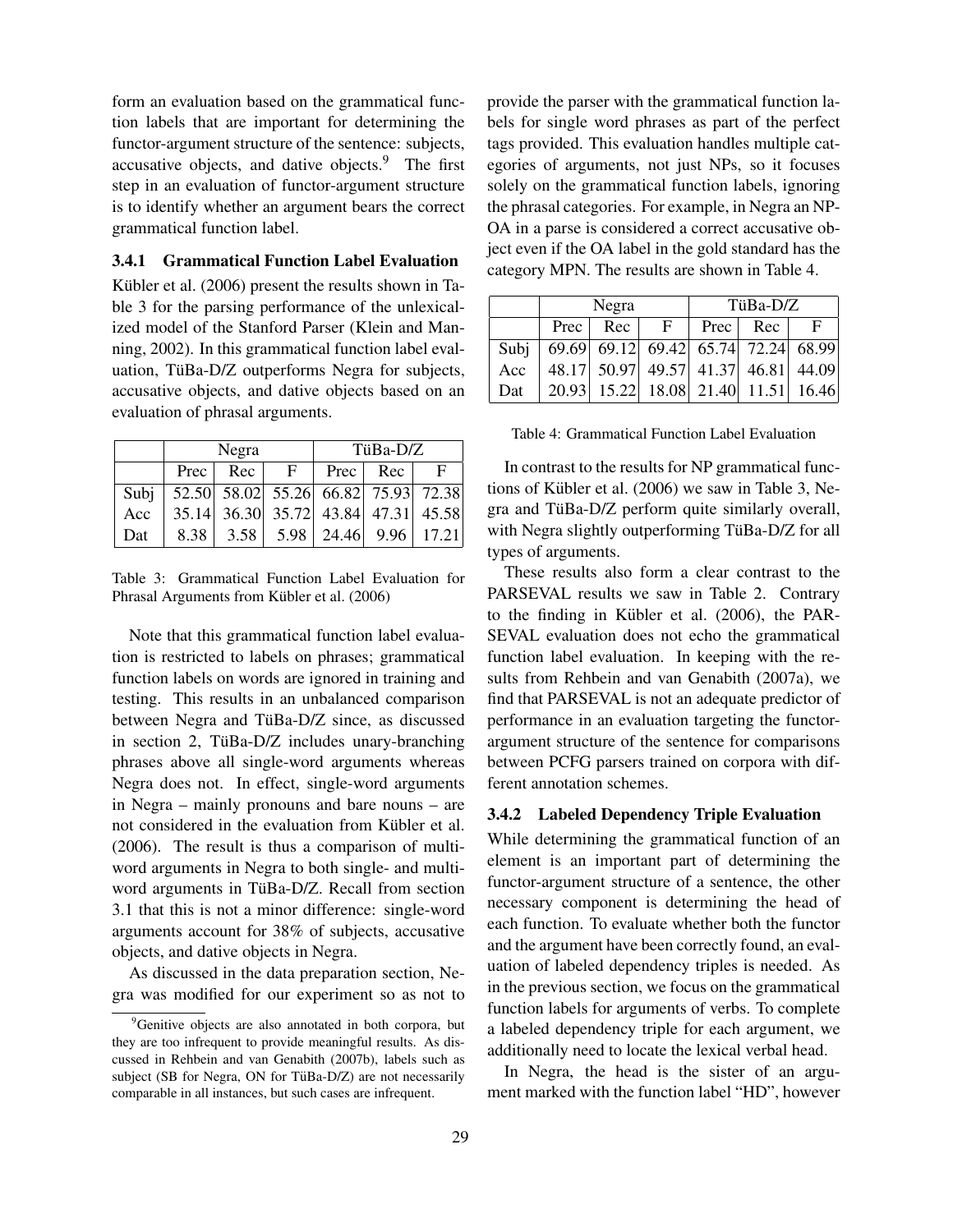form an evaluation based on the grammatical function labels that are important for determining the functor-argument structure of the sentence: subjects, accusative objects, and dative objects. $9$  The first step in an evaluation of functor-argument structure is to identify whether an argument bears the correct grammatical function label.

## 3.4.1 Grammatical Function Label Evaluation

Kübler et al. (2006) present the results shown in Table 3 for the parsing performance of the unlexicalized model of the Stanford Parser (Klein and Manning, 2002). In this grammatical function label evaluation, TüBa-D/Z outperforms Negra for subjects, accusative objects, and dative objects based on an evaluation of phrasal arguments.

|      | Negra       |                                             |              | TüBa-D/Z |            |            |
|------|-------------|---------------------------------------------|--------------|----------|------------|------------|
|      | $Prec \mid$ | Rec                                         | $\mathbf{F}$ |          | Prec   Rec | $_{\rm F}$ |
| Subj |             | 52.50 58.02 55.26 66.82 75.93 72.38         |              |          |            |            |
| Acc  |             | 35.14 36.30 35.72 43.84 47.31 45.58         |              |          |            |            |
| Dat  |             | $8.38$   3.58   5.98   24.46   9.96   17.21 |              |          |            |            |

Table 3: Grammatical Function Label Evaluation for Phrasal Arguments from Kübler et al. (2006)

Note that this grammatical function label evaluation is restricted to labels on phrases; grammatical function labels on words are ignored in training and testing. This results in an unbalanced comparison between Negra and TüBa-D/Z since, as discussed in section 2, TüBa-D/Z includes unary-branching phrases above all single-word arguments whereas Negra does not. In effect, single-word arguments in Negra – mainly pronouns and bare nouns – are not considered in the evaluation from Kübler et al. (2006). The result is thus a comparison of multiword arguments in Negra to both single- and multiword arguments in TüBa-D/Z. Recall from section 3.1 that this is not a minor difference: single-word arguments account for 38% of subjects, accusative objects, and dative objects in Negra.

As discussed in the data preparation section, Negra was modified for our experiment so as not to provide the parser with the grammatical function labels for single word phrases as part of the perfect tags provided. This evaluation handles multiple categories of arguments, not just NPs, so it focuses solely on the grammatical function labels, ignoring the phrasal categories. For example, in Negra an NP-OA in a parse is considered a correct accusative object even if the OA label in the gold standard has the category MPN. The results are shown in Table 4.

|      | Negra       |     |                                     | TüBa-D/Z |          |              |
|------|-------------|-----|-------------------------------------|----------|----------|--------------|
|      | $Prec \mid$ | Rec | $-F$                                |          | Prec Rec | $\mathbf{F}$ |
| Subj |             |     | 69.69 69.12 69.42 65.74 72.24 68.99 |          |          |              |
| Acc  |             |     | 48.17 50.97 49.57 41.37 46.81 44.09 |          |          |              |
| Dat  |             |     | 20.93 15.22 18.08 21.40 11.51 16.46 |          |          |              |

Table 4: Grammatical Function Label Evaluation

In contrast to the results for NP grammatical functions of Kübler et al.  $(2006)$  we saw in Table 3, Negra and TüBa-D/Z perform quite similarly overall, with Negra slightly outperforming TüBa-D/Z for all types of arguments.

These results also form a clear contrast to the PARSEVAL results we saw in Table 2. Contrary to the finding in Kübler et al.  $(2006)$ , the PAR-SEVAL evaluation does not echo the grammatical function label evaluation. In keeping with the results from Rehbein and van Genabith (2007a), we find that PARSEVAL is not an adequate predictor of performance in an evaluation targeting the functorargument structure of the sentence for comparisons between PCFG parsers trained on corpora with different annotation schemes.

## 3.4.2 Labeled Dependency Triple Evaluation

While determining the grammatical function of an element is an important part of determining the functor-argument structure of a sentence, the other necessary component is determining the head of each function. To evaluate whether both the functor and the argument have been correctly found, an evaluation of labeled dependency triples is needed. As in the previous section, we focus on the grammatical function labels for arguments of verbs. To complete a labeled dependency triple for each argument, we additionally need to locate the lexical verbal head.

In Negra, the head is the sister of an argument marked with the function label "HD", however

<sup>&</sup>lt;sup>9</sup>Genitive objects are also annotated in both corpora, but they are too infrequent to provide meaningful results. As discussed in Rehbein and van Genabith (2007b), labels such as subject (SB for Negra, ON for TüBa-D/Z) are not necessarily comparable in all instances, but such cases are infrequent.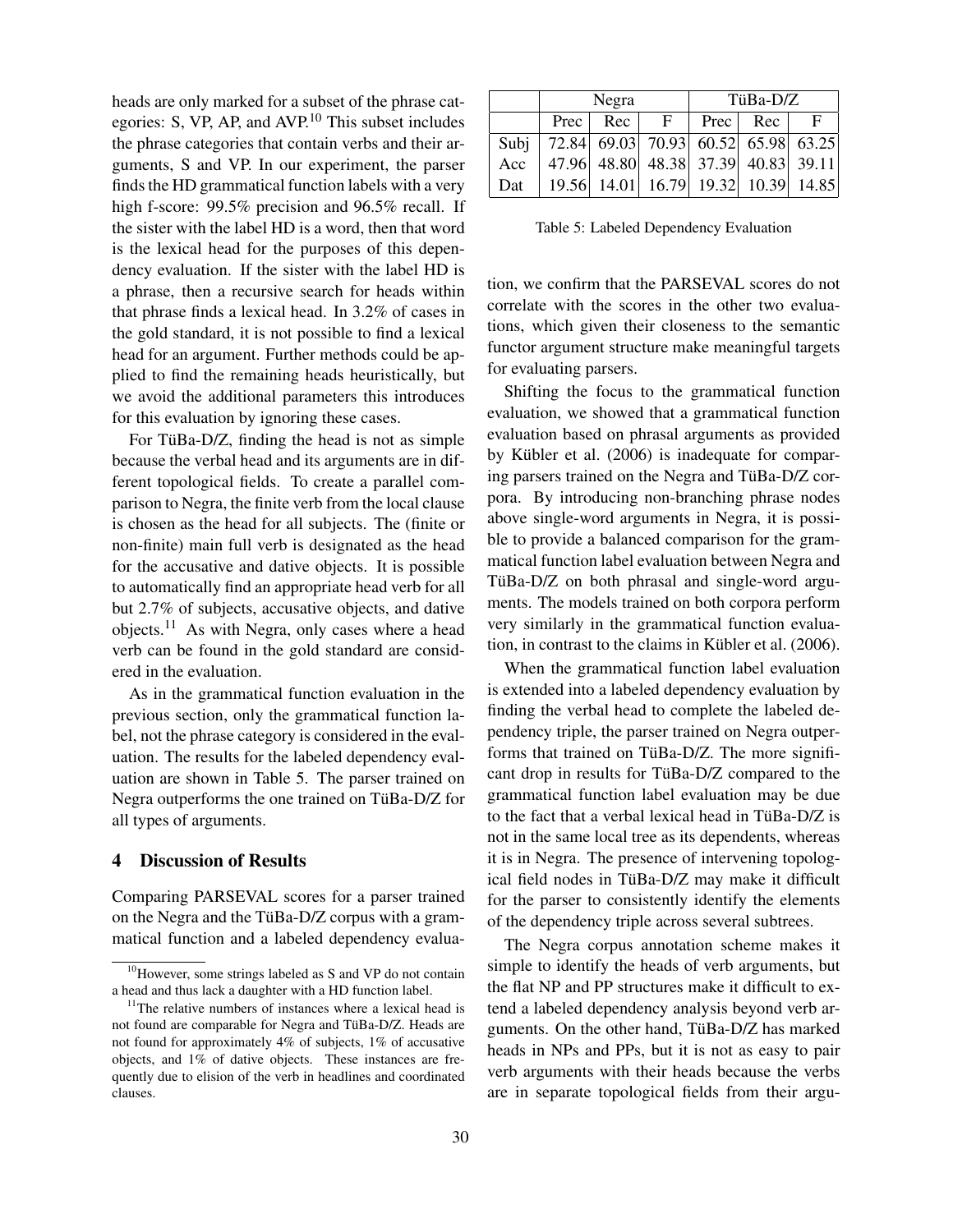heads are only marked for a subset of the phrase categories: S, VP, AP, and AVP.<sup>10</sup> This subset includes the phrase categories that contain verbs and their arguments, S and VP. In our experiment, the parser finds the HD grammatical function labels with a very high f-score: 99.5% precision and 96.5% recall. If the sister with the label HD is a word, then that word is the lexical head for the purposes of this dependency evaluation. If the sister with the label HD is a phrase, then a recursive search for heads within that phrase finds a lexical head. In 3.2% of cases in the gold standard, it is not possible to find a lexical head for an argument. Further methods could be applied to find the remaining heads heuristically, but we avoid the additional parameters this introduces for this evaluation by ignoring these cases.

For TüBa- $D/Z$ , finding the head is not as simple because the verbal head and its arguments are in different topological fields. To create a parallel comparison to Negra, the finite verb from the local clause is chosen as the head for all subjects. The (finite or non-finite) main full verb is designated as the head for the accusative and dative objects. It is possible to automatically find an appropriate head verb for all but 2.7% of subjects, accusative objects, and dative objects.<sup>11</sup> As with Negra, only cases where a head verb can be found in the gold standard are considered in the evaluation.

As in the grammatical function evaluation in the previous section, only the grammatical function label, not the phrase category is considered in the evaluation. The results for the labeled dependency evaluation are shown in Table 5. The parser trained on Negra outperforms the one trained on TüBa-D/Z for all types of arguments.

## 4 Discussion of Results

Comparing PARSEVAL scores for a parser trained on the Negra and the TüBa- $D/Z$  corpus with a grammatical function and a labeled dependency evalua-

|     | Negra                                      |            | TüBa-D/Z                            |  |          |   |
|-----|--------------------------------------------|------------|-------------------------------------|--|----------|---|
|     |                                            | Prec   Rec | $\mathbf{F}$                        |  | Prec Rec | F |
|     | Subj   72.84 69.03 70.93 60.52 65.98 63.25 |            |                                     |  |          |   |
| Acc |                                            |            | 47.96 48.80 48.38 37.39 40.83 39.11 |  |          |   |
| Dat |                                            |            | 19.56 14.01 16.79 19.32 10.39 14.85 |  |          |   |

Table 5: Labeled Dependency Evaluation

tion, we confirm that the PARSEVAL scores do not correlate with the scores in the other two evaluations, which given their closeness to the semantic functor argument structure make meaningful targets for evaluating parsers.

Shifting the focus to the grammatical function evaluation, we showed that a grammatical function evaluation based on phrasal arguments as provided by Kübler et al.  $(2006)$  is inadequate for comparing parsers trained on the Negra and TüBa- $D/Z$  corpora. By introducing non-branching phrase nodes above single-word arguments in Negra, it is possible to provide a balanced comparison for the grammatical function label evaluation between Negra and  $T\ddot{u}Ba-D/Z$  on both phrasal and single-word arguments. The models trained on both corpora perform very similarly in the grammatical function evaluation, in contrast to the claims in Kübler et al. (2006).

When the grammatical function label evaluation is extended into a labeled dependency evaluation by finding the verbal head to complete the labeled dependency triple, the parser trained on Negra outperforms that trained on TüBa-D/Z. The more significant drop in results for TüBa- $D/Z$  compared to the grammatical function label evaluation may be due to the fact that a verbal lexical head in TüBa- $D/Z$  is not in the same local tree as its dependents, whereas it is in Negra. The presence of intervening topological field nodes in TüBa-D/Z may make it difficult for the parser to consistently identify the elements of the dependency triple across several subtrees.

The Negra corpus annotation scheme makes it simple to identify the heads of verb arguments, but the flat NP and PP structures make it difficult to extend a labeled dependency analysis beyond verb arguments. On the other hand, TüBa-D/Z has marked heads in NPs and PPs, but it is not as easy to pair verb arguments with their heads because the verbs are in separate topological fields from their argu-

<sup>&</sup>lt;sup>10</sup>However, some strings labeled as S and VP do not contain a head and thus lack a daughter with a HD function label.

<sup>&</sup>lt;sup>11</sup>The relative numbers of instances where a lexical head is not found are comparable for Negra and TüBa-D/Z. Heads are not found for approximately 4% of subjects, 1% of accusative objects, and 1% of dative objects. These instances are frequently due to elision of the verb in headlines and coordinated clauses.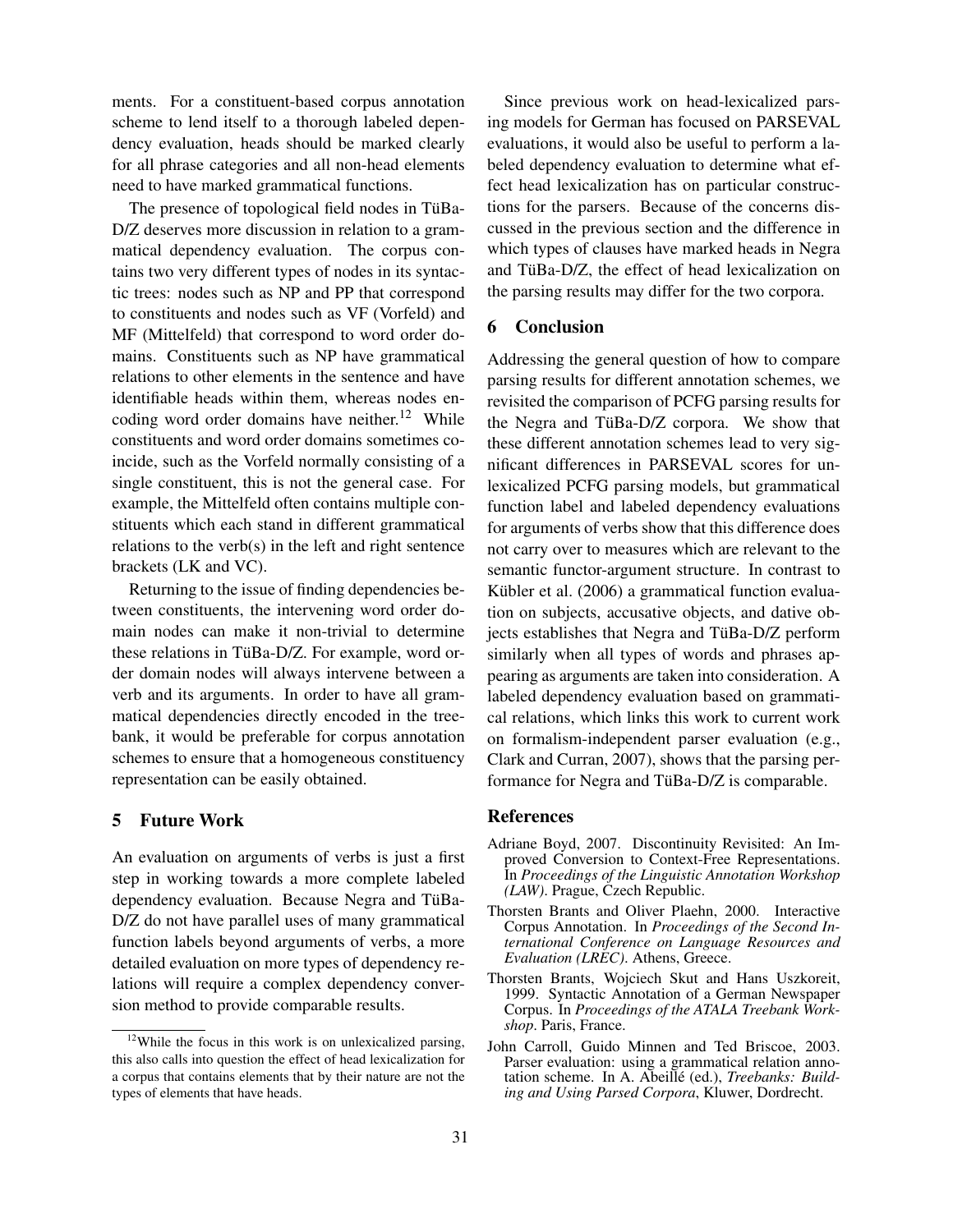ments. For a constituent-based corpus annotation scheme to lend itself to a thorough labeled dependency evaluation, heads should be marked clearly for all phrase categories and all non-head elements need to have marked grammatical functions.

The presence of topological field nodes in TüBa-D/Z deserves more discussion in relation to a grammatical dependency evaluation. The corpus contains two very different types of nodes in its syntactic trees: nodes such as NP and PP that correspond to constituents and nodes such as VF (Vorfeld) and MF (Mittelfeld) that correspond to word order domains. Constituents such as NP have grammatical relations to other elements in the sentence and have identifiable heads within them, whereas nodes encoding word order domains have neither.<sup>12</sup> While constituents and word order domains sometimes coincide, such as the Vorfeld normally consisting of a single constituent, this is not the general case. For example, the Mittelfeld often contains multiple constituents which each stand in different grammatical relations to the verb(s) in the left and right sentence brackets (LK and VC).

Returning to the issue of finding dependencies between constituents, the intervening word order domain nodes can make it non-trivial to determine these relations in TüBa-D/Z. For example, word order domain nodes will always intervene between a verb and its arguments. In order to have all grammatical dependencies directly encoded in the treebank, it would be preferable for corpus annotation schemes to ensure that a homogeneous constituency representation can be easily obtained.

# 5 Future Work

An evaluation on arguments of verbs is just a first step in working towards a more complete labeled dependency evaluation. Because Negra and TüBa-D/Z do not have parallel uses of many grammatical function labels beyond arguments of verbs, a more detailed evaluation on more types of dependency relations will require a complex dependency conversion method to provide comparable results.

Since previous work on head-lexicalized parsing models for German has focused on PARSEVAL evaluations, it would also be useful to perform a labeled dependency evaluation to determine what effect head lexicalization has on particular constructions for the parsers. Because of the concerns discussed in the previous section and the difference in which types of clauses have marked heads in Negra and TüBa- $D/Z$ , the effect of head lexicalization on the parsing results may differ for the two corpora.

#### 6 Conclusion

Addressing the general question of how to compare parsing results for different annotation schemes, we revisited the comparison of PCFG parsing results for the Negra and TüBa-D/Z corpora. We show that these different annotation schemes lead to very significant differences in PARSEVAL scores for unlexicalized PCFG parsing models, but grammatical function label and labeled dependency evaluations for arguments of verbs show that this difference does not carry over to measures which are relevant to the semantic functor-argument structure. In contrast to Kübler et al. (2006) a grammatical function evaluation on subjects, accusative objects, and dative objects establishes that Negra and TüBa-D/Z perform similarly when all types of words and phrases appearing as arguments are taken into consideration. A labeled dependency evaluation based on grammatical relations, which links this work to current work on formalism-independent parser evaluation (e.g., Clark and Curran, 2007), shows that the parsing performance for Negra and TüBa-D/Z is comparable.

# References

- Adriane Boyd, 2007. Discontinuity Revisited: An Improved Conversion to Context-Free Representations. In *Proceedings of the Linguistic Annotation Workshop (LAW)*. Prague, Czech Republic.
- Thorsten Brants and Oliver Plaehn, 2000. Interactive Corpus Annotation. In *Proceedings of the Second International Conference on Language Resources and Evaluation (LREC)*. Athens, Greece.
- Thorsten Brants, Wojciech Skut and Hans Uszkoreit, 1999. Syntactic Annotation of a German Newspaper Corpus. In *Proceedings of the ATALA Treebank Workshop*. Paris, France.
- John Carroll, Guido Minnen and Ted Briscoe, 2003. Parser evaluation: using a grammatical relation annotation scheme. In A. Abeillé (ed.), Treebanks: Build*ing and Using Parsed Corpora*, Kluwer, Dordrecht.

<sup>&</sup>lt;sup>12</sup>While the focus in this work is on unlexicalized parsing, this also calls into question the effect of head lexicalization for a corpus that contains elements that by their nature are not the types of elements that have heads.